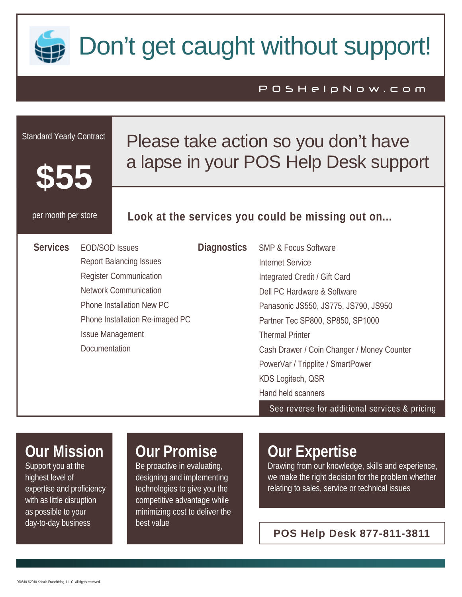

# Don't get caught without support!

#### POSHelpNow.com

| <b>Standard Yearly Contract</b><br>Please take action so you don't have<br>a lapse in your POS Help Desk support |                       |                    |                                                  |  |  |
|------------------------------------------------------------------------------------------------------------------|-----------------------|--------------------|--------------------------------------------------|--|--|
| per month per store                                                                                              |                       |                    | Look at the services you could be missing out on |  |  |
| <b>Services</b>                                                                                                  | <b>EOD/SOD Issues</b> | <b>Diagnostics</b> | <b>SMP &amp; Focus Software</b>                  |  |  |
| <b>Report Balancing Issues</b>                                                                                   |                       |                    | <b>Internet Service</b>                          |  |  |
| <b>Register Communication</b>                                                                                    |                       |                    | Integrated Credit / Gift Card                    |  |  |
| <b>Network Communication</b>                                                                                     |                       |                    | Dell PC Hardware & Software                      |  |  |
| Phone Installation New PC                                                                                        |                       |                    | Panasonic JS550, JS775, JS790, JS950             |  |  |
| Phone Installation Re-imaged PC                                                                                  |                       |                    | Partner Tec SP800, SP850, SP1000                 |  |  |
| <b>Issue Management</b>                                                                                          |                       |                    | <b>Thermal Printer</b>                           |  |  |
| Documentation                                                                                                    |                       |                    | Cash Drawer / Coin Changer / Money Counter       |  |  |
|                                                                                                                  |                       |                    | PowerVar / Tripplite / SmartPower                |  |  |
|                                                                                                                  |                       | KDS Logitech, QSR  |                                                  |  |  |
|                                                                                                                  |                       |                    | Hand held scanners                               |  |  |
|                                                                                                                  |                       |                    | See reverse for additional services & pricing    |  |  |
|                                                                                                                  |                       |                    |                                                  |  |  |

## **Our Mission**

Support you at the highest level of expertise and proficiency with as little disruption as possible to your day-to-day business

### **Our Promise**

Be proactive in evaluating, designing and implementing technologies to give you the competitive advantage while minimizing cost to deliver the best value

### **Our Expertise**

Drawing from our knowledge, skills and experience, we make the right decision for the problem whether relating to sales, service or technical issues

**POS Help Desk 877-811-3811**